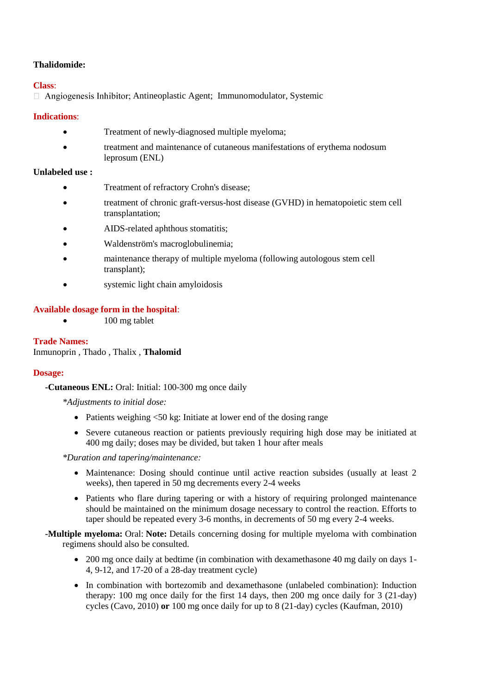# **Thalidomide:**

# **Class**:

 $\Box$  Angiogenesis Inhibitor; Antineoplastic Agent; Immunomodulator, Systemic

# **Indications**:

- Treatment of newly-diagnosed multiple myeloma;
- treatment and maintenance of cutaneous manifestations of erythema nodosum leprosum (ENL)

# **Unlabeled use :**

- Treatment of refractory Crohn's disease;
- treatment of chronic graft-versus-host disease (GVHD) in hematopoietic stem cell transplantation;
- AIDS-related aphthous stomatitis;
- Waldenström's macroglobulinemia;
- maintenance therapy of multiple myeloma (following autologous stem cell transplant);
- systemic light chain amyloidosis

# **Available dosage form in the hospital**:

• 100 mg tablet

#### **Trade Names:** Inmunoprin , Thado , Thalix , **Thalomid**

### **Dosage:**

# **-Cutaneous ENL:** Oral: Initial: 100-300 mg once daily

*\*Adjustments to initial dose:*

- Patients weighing  $\leq 50$  kg: Initiate at lower end of the dosing range
- Severe cutaneous reaction or patients previously requiring high dose may be initiated at 400 mg daily; doses may be divided, but taken 1 hour after meals

*\*Duration and tapering/maintenance:*

- Maintenance: Dosing should continue until active reaction subsides (usually at least 2 weeks), then tapered in 50 mg decrements every 2-4 weeks
- Patients who flare during tapering or with a history of requiring prolonged maintenance should be maintained on the minimum dosage necessary to control the reaction. Efforts to taper should be repeated every 3-6 months, in decrements of 50 mg every 2-4 weeks.
- **-Multiple myeloma:** Oral: **Note:** Details concerning dosing for multiple myeloma with combination regimens should also be consulted.
	- 200 mg once daily at bedtime (in combination with dexamethasone 40 mg daily on days 1-4, 9-12, and 17-20 of a 28-day treatment cycle)
	- In combination with bortezomib and dexamethasone (unlabeled combination): Induction therapy: 100 mg once daily for the first 14 days, then 200 mg once daily for 3 (21-day) cycles (Cavo, 2010) **or** 100 mg once daily for up to 8 (21-day) cycles (Kaufman, 2010)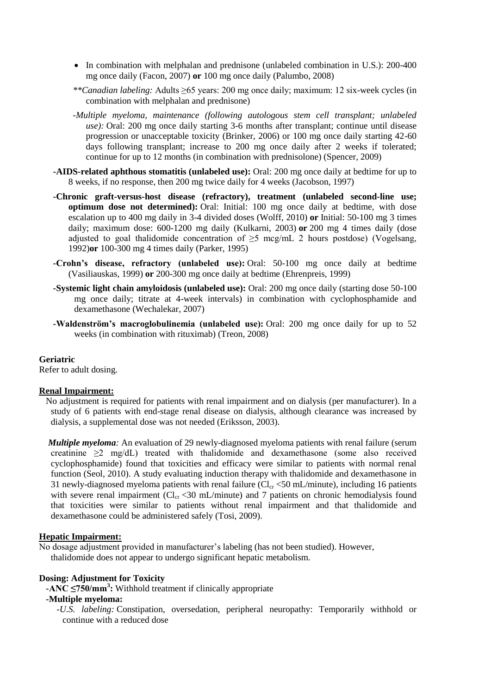- $\bullet$  In combination with melphalan and prednisone (unlabeled combination in U.S.): 200-400 mg once daily (Facon, 2007) **or** 100 mg once daily (Palumbo, 2008)
- *\*\*Canadian labeling:* Adults ≥65 years: 200 mg once daily; maximum: 12 six-week cycles (in combination with melphalan and prednisone)
- *-Multiple myeloma, maintenance (following autologous stem cell transplant; unlabeled use):* Oral: 200 mg once daily starting 3-6 months after transplant; continue until disease progression or unacceptable toxicity (Brinker, 2006) or 100 mg once daily starting 42-60 days following transplant; increase to 200 mg once daily after 2 weeks if tolerated; continue for up to 12 months (in combination with prednisolone) (Spencer, 2009)
- **-AIDS-related aphthous stomatitis (unlabeled use):** Oral: 200 mg once daily at bedtime for up to 8 weeks, if no response, then 200 mg twice daily for 4 weeks (Jacobson, 1997)
- **-Chronic graft-versus-host disease (refractory), treatment (unlabeled second-line use; optimum dose not determined):** Oral: Initial: 100 mg once daily at bedtime, with dose escalation up to 400 mg daily in 3-4 divided doses (Wolff, 2010) **or** Initial: 50-100 mg 3 times daily; maximum dose: 600-1200 mg daily (Kulkarni, 2003) **or** 200 mg 4 times daily (dose adjusted to goal thalidomide concentration of  $\geq$ 5 mcg/mL 2 hours postdose) (Vogelsang, 1992)**or** 100-300 mg 4 times daily (Parker, 1995)
- **-Crohn's disease, refractory (unlabeled use):** Oral: 50-100 mg once daily at bedtime (Vasiliauskas, 1999) **or** 200-300 mg once daily at bedtime (Ehrenpreis, 1999)
- **-Systemic light chain amyloidosis (unlabeled use):** Oral: 200 mg once daily (starting dose 50-100 mg once daily; titrate at 4-week intervals) in combination with cyclophosphamide and dexamethasone (Wechalekar, 2007)
- **-Waldenström's macroglobulinemia (unlabeled use):** Oral: 200 mg once daily for up to 52 weeks (in combination with rituximab) (Treon, 2008)

### **Geriatric**

Refer to adult dosing.

#### **Renal Impairment:**

 No adjustment is required for patients with renal impairment and on dialysis (per manufacturer). In a study of 6 patients with end-stage renal disease on dialysis, although clearance was increased by dialysis, a supplemental dose was not needed (Eriksson, 2003).

*Multiple myeloma*: An evaluation of 29 newly-diagnosed myeloma patients with renal failure (serum creatinine ≥2 mg/dL) treated with thalidomide and dexamethasone (some also received cyclophosphamide) found that toxicities and efficacy were similar to patients with normal renal function (Seol, 2010). A study evaluating induction therapy with thalidomide and dexamethasone in 31 newly-diagnosed myeloma patients with renal failure  $\overline{Cl_{cr}}$  <50 mL/minute), including 16 patients with severe renal impairment  $(Cl_{cr} < 30 \text{ mL/minute})$  and 7 patients on chronic hemodialysis found that toxicities were similar to patients without renal impairment and that thalidomide and dexamethasone could be administered safely (Tosi, 2009).

#### **Hepatic Impairment:**

No dosage adjustment provided in manufacturer's labeling (has not been studied). However, thalidomide does not appear to undergo significant hepatic metabolism.

#### **Dosing: Adjustment for Toxicity**

 **-ANC ≤750/mm<sup>3</sup> :** Withhold treatment if clinically appropriate

# **-Multiple myeloma:**

*-U.S. labeling:* Constipation, oversedation, peripheral neuropathy: Temporarily withhold or continue with a reduced dose